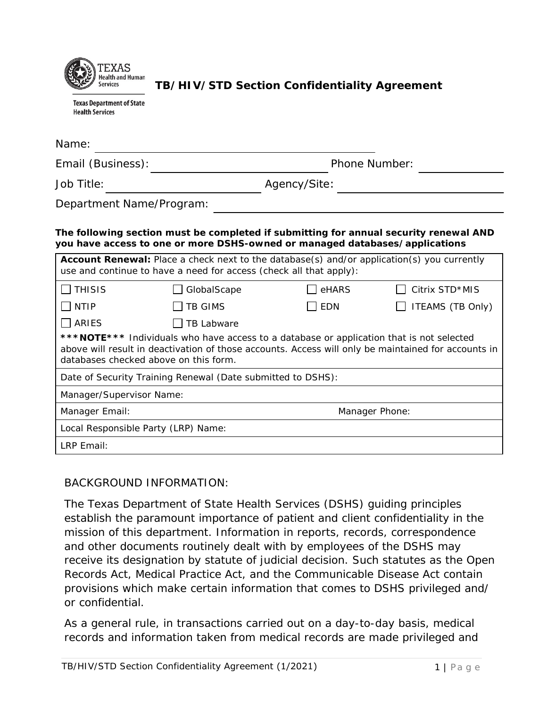

**TB/HIV/STD Section Confidentiality Agreement**

**Texas Department of State Health Services** 

| Name:                                                                                                                                                                                                                                     |                |                      |                  |  |
|-------------------------------------------------------------------------------------------------------------------------------------------------------------------------------------------------------------------------------------------|----------------|----------------------|------------------|--|
| Email (Business):                                                                                                                                                                                                                         |                | <b>Phone Number:</b> |                  |  |
| Job Title:                                                                                                                                                                                                                                |                | Agency/Site:         |                  |  |
| Department Name/Program:                                                                                                                                                                                                                  |                |                      |                  |  |
| The following section must be completed if submitting for annual security renewal AND<br>you have access to one or more DSHS-owned or managed databases/applications                                                                      |                |                      |                  |  |
| <b>Account Renewal:</b> Place a check next to the database(s) and/or application(s) you currently<br>use and continue to have a need for access (check all that apply):                                                                   |                |                      |                  |  |
| <b>THISIS</b>                                                                                                                                                                                                                             | GlobalScape    | eHARS                | Citrix STD*MIS   |  |
| <b>NTIP</b>                                                                                                                                                                                                                               | <b>TB GIMS</b> | EDN                  | ITEAMS (TB Only) |  |
| ARIES                                                                                                                                                                                                                                     | TB Labware     |                      |                  |  |
| *** NOTE*** Individuals who have access to a database or application that is not selected<br>above will result in deactivation of those accounts. Access will only be maintained for accounts in<br>databases checked above on this form. |                |                      |                  |  |
| Date of Security Training Renewal (Date submitted to DSHS):                                                                                                                                                                               |                |                      |                  |  |
| Manager/Supervisor Name:                                                                                                                                                                                                                  |                |                      |                  |  |
| Manager Email:                                                                                                                                                                                                                            |                | Manager Phone:       |                  |  |
| Local Responsible Party (LRP) Name:                                                                                                                                                                                                       |                |                      |                  |  |
| LRP Email:                                                                                                                                                                                                                                |                |                      |                  |  |

## BACKGROUND INFORMATION:

The Texas Department of State Health Services (DSHS) guiding principles establish the paramount importance of patient and client confidentiality in the mission of this department. Information in reports, records, correspondence and other documents routinely dealt with by employees of the DSHS may receive its designation by statute of judicial decision. Such statutes as the Open Records Act, Medical Practice Act, and the Communicable Disease Act contain provisions which make certain information that comes to DSHS privileged and/ or confidential.

As a general rule, in transactions carried out on a day-to-day basis, medical records and information taken from medical records are made privileged and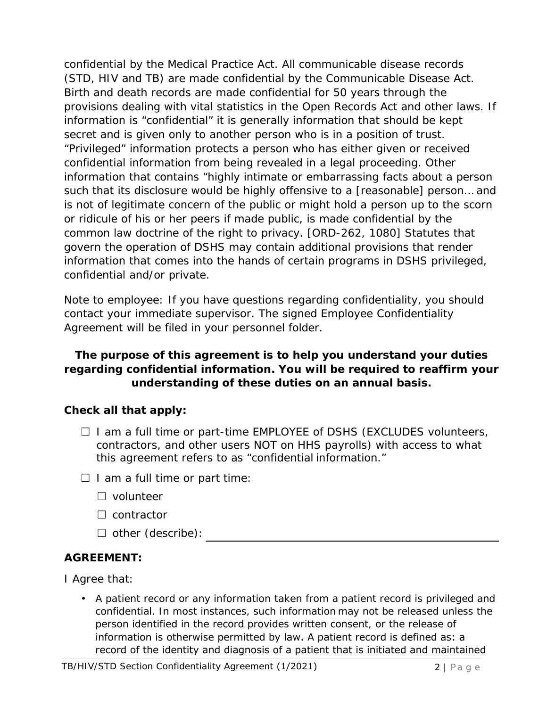confidential by the Medical Practice Act. All communicable disease records (STD, HIV and TB) are made confidential by the Communicable Disease Act. Birth and death records are made confidential for 50 years through the provisions dealing with vital statistics in the Open Records Act and other laws. If information is "confidential" it is generally information that should be kept secret and is given only to another person who is in a position of trust. "Privileged" information protects a person who has either given or received confidential information from being revealed in a legal proceeding. Other information that contains "highly intimate or embarrassing facts about a person such that its disclosure would be highly offensive to a [reasonable] person… and is not of legitimate concern of the public or might hold a person up to the scorn or ridicule of his or her peers if made public, is made confidential by the common law doctrine of the right to privacy. [ORD-262, 1080] Statutes that govern the operation of DSHS may contain additional provisions that render information that comes into the hands of certain programs in DSHS privileged, confidential and/or private.

*Note to employee: If you have questions regarding confidentiality, you should contact your immediate supervisor. The signed Employee Confidentiality Agreement will be filed in your personnel folder.* 

## **The purpose of this agreement is to help you understand your duties regarding confidential information. You will be required to reaffirm your understanding of these duties on an annual basis.**

## **Check all that apply:**

- $\Box$  I am a full time or part-time EMPLOYEE of DSHS (EXCLUDES volunteers, contractors, and other users NOT on HHS payrolls) with access to what this agreement refers to as "confidential information."
- $\Box$  I am a full time or part time:
	- ☐ volunteer
	- ☐ contractor
	- ☐ other (describe):

## **AGREEMENT:**

I Agree that:

• A patient record or any information taken from a patient record is privileged and confidential. In most instances, such information may not be released unless the person identified in the record provides written consent, or the release of information is otherwise permitted by law. A patient record is defined as: a record of the identity and diagnosis of a patient that is initiated and maintained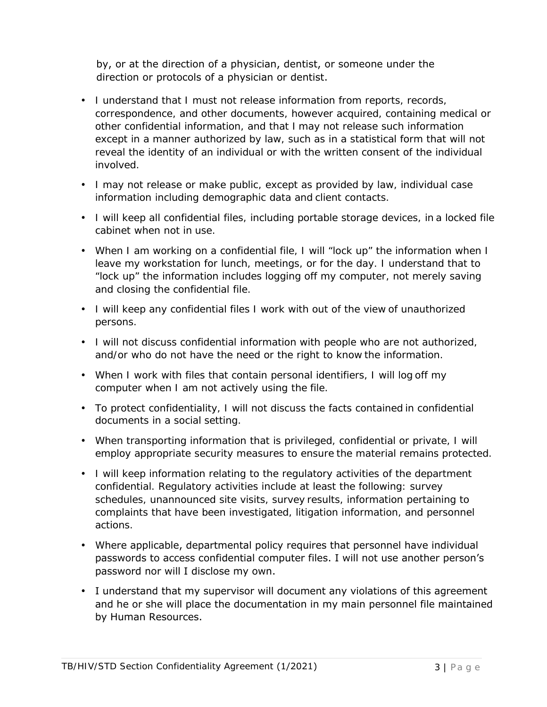by, or at the direction of a physician, dentist, or someone under the direction or protocols of a physician or dentist.

- I understand that I must not release information from reports, records, correspondence, and other documents, however acquired, containing medical or other confidential information, and that I may not release such information except in a manner authorized by law, such as in a statistical form that will not reveal the identity of an individual or with the written consent of the individual involved.
- I may not release or make public, except as provided by law, individual case information including demographic data and client contacts.
- I will keep all confidential files, including portable storage devices, in a locked file cabinet when not in use.
- When I am working on a confidential file, I will "lock up" the information when I leave my workstation for lunch, meetings, or for the day. I understand that to "lock up" the information includes logging off my computer, not merely saving and closing the confidential file.
- I will keep any confidential files I work with out of the view of unauthorized persons.
- I will not discuss confidential information with people who are not authorized, and/or who do not have the need or the right to know the information.
- When I work with files that contain personal identifiers, I will log off my computer when I am not actively using the file.
- To protect confidentiality, I will not discuss the facts contained in confidential documents in a social setting.
- When transporting information that is privileged, confidential or private, I will employ appropriate security measures to ensure the material remains protected.
- I will keep information relating to the regulatory activities of the department confidential. Regulatory activities include at least the following: survey schedules, unannounced site visits, survey results, information pertaining to complaints that have been investigated, litigation information, and personnel actions.
- Where applicable, departmental policy requires that personnel have individual passwords to access confidential computer files. I will not use another person's password nor will I disclose my own.
- I understand that my supervisor will document any violations of this agreement and he or she will place the documentation in my main personnel file maintained by Human Resources.